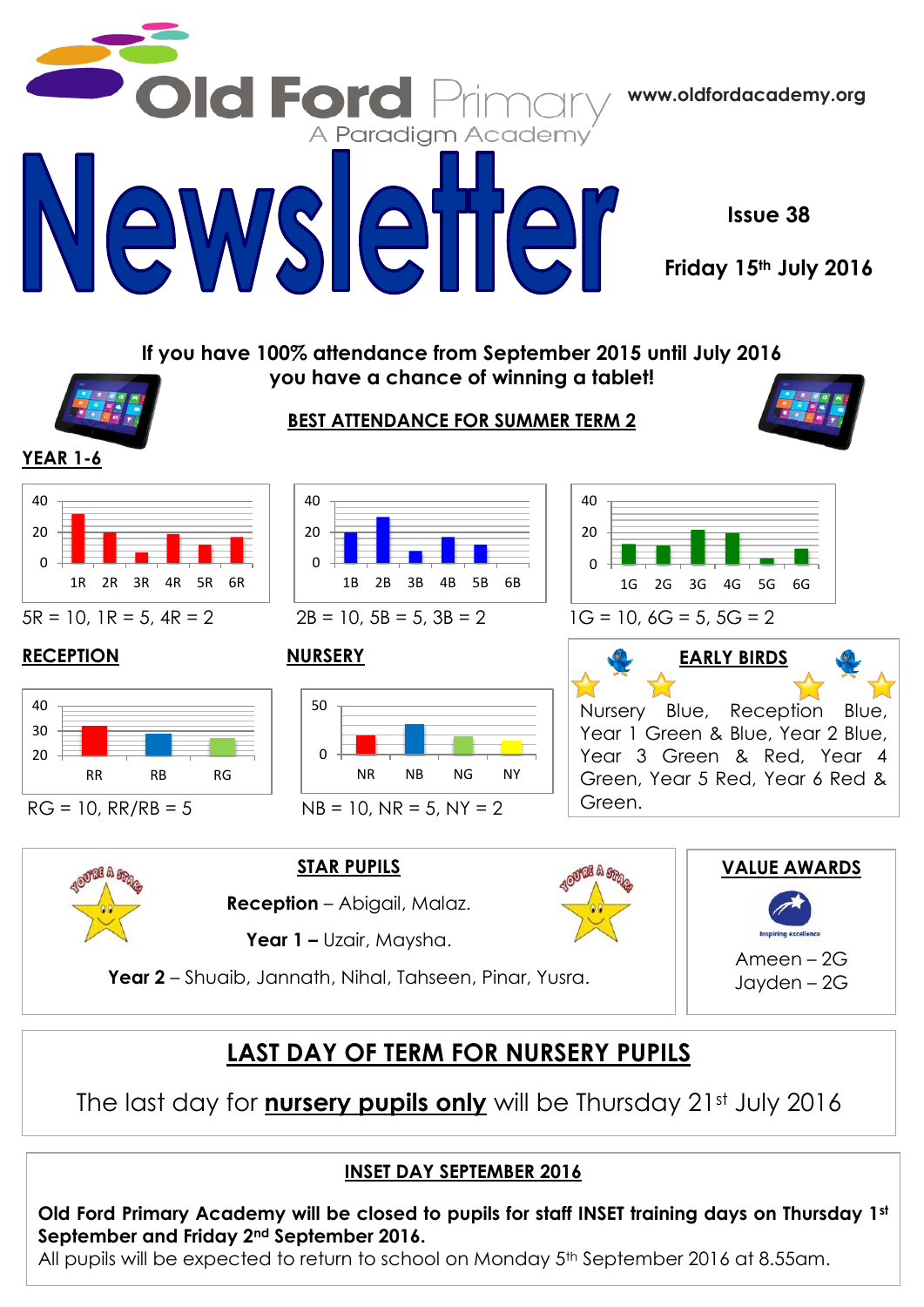

# **LAST DAY OF TERM FOR NURSERY PUPILS**

The last day for **nursery pupils only** will be Thursday 21st July 2016

## **INSET DAY SEPTEMBER 2016**

**Old Ford Primary Academy will be closed to pupils for staff INSET training days on Thursday 1st September and Friday 2nd September 2016.**

All pupils will be expected to return to school on Monday 5<sup>th</sup> September 2016 at 8.55am.